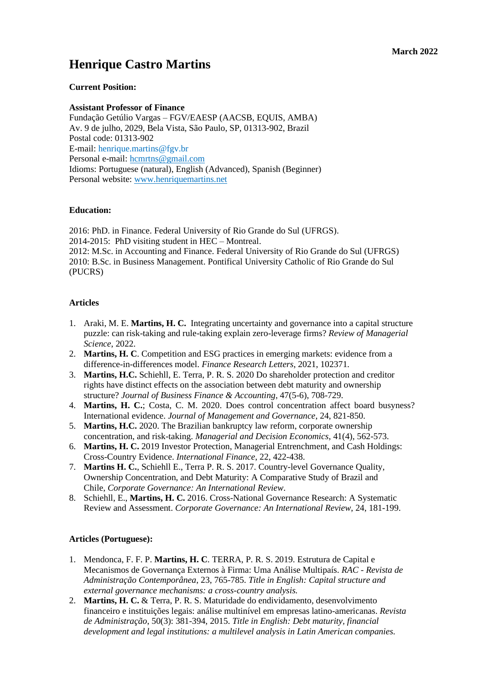# **Henrique Castro Martins**

## **Current Position:**

#### **Assistant Professor of Finance**

Fundação Getúlio Vargas – FGV/EAESP (AACSB, EQUIS, AMBA) Av. 9 de julho, 2029, Bela Vista, São Paulo, SP, 01313-902, Brazil Postal code: 01313-902 E-mail: henrique.martins@fgv.br Personal e-mail: [hcmrtns@gmail.com](mailto:hcmrtns@gmail.com) Idioms: Portuguese (natural), English (Advanced), Spanish (Beginner) Personal website: [www.henriquemartins.net](http://www.henriquemartins.net/)

## **Education:**

2016: PhD. in Finance. Federal University of Rio Grande do Sul (UFRGS). 2014-2015: PhD visiting student in HEC – Montreal. 2012: M.Sc. in Accounting and Finance. Federal University of Rio Grande do Sul (UFRGS) 2010: B.Sc. in Business Management. Pontifical University Catholic of Rio Grande do Sul (PUCRS)

### **Articles**

- 1. Araki, M. E. **Martins, H. C.** Integrating uncertainty and governance into a capital structure puzzle: can risk-taking and rule-taking explain zero-leverage firms? *Review of Managerial Science*, 2022.
- 2. **Martins, H. C**. Competition and ESG practices in emerging markets: evidence from a difference-in-differences model. *Finance Research Letters*, 2021, 102371.
- 3. **Martins, H.C.** Schiehll, E. Terra, P. R. S. 2020 Do shareholder protection and creditor rights have distinct effects on the association between debt maturity and ownership structure? *Journal of Business Finance & Accounting*, 47(5-6), 708-729.
- 4. **Martins, H. C.**; Costa, C. M. 2020. Does control concentration affect board busyness? International evidence. *Journal of Management and Governance*, 24, 821-850.
- 5. **Martins, H.C.** 2020. The Brazilian bankruptcy law reform, corporate ownership concentration, and risk-taking. *Managerial and Decision Economics*, 41(4), 562-573.
- 6. **Martins, H. C.** 2019 Investor Protection, Managerial Entrenchment, and Cash Holdings: Cross-Country Evidence. *International Finance*, 22, 422-438.
- 7. **Martins H. C.**, Schiehll E., Terra P. R. S. 2017. Country-level Governance Quality, Ownership Concentration, and Debt Maturity: A Comparative Study of Brazil and Chile, *Corporate Governance: An International Review*.
- 8. Schiehll, E., **Martins, H. C.** 2016. Cross-National Governance Research: A Systematic Review and Assessment. *Corporate Governance: An International Review*, 24, 181-199.

#### **Articles (Portuguese):**

- 1. Mendonca, F. F. P. **Martins, H. C**. TERRA, P. R. S. 2019. Estrutura de Capital e Mecanismos de Governança Externos à Firma: Uma Análise Multipaís. *RAC - Revista de Administração Contemporânea*, 23, 765-785. *Title in English: Capital structure and external governance mechanisms: a cross-country analysis.*
- 2. **Martins, H. C.** & Terra, P. R. S. Maturidade do endividamento, desenvolvimento financeiro e instituições legais: análise multinível em empresas latino-americanas. *Revista de Administração*, 50(3): 381-394, 2015. *Title in English: Debt maturity, financial development and legal institutions: a multilevel analysis in Latin American companies.*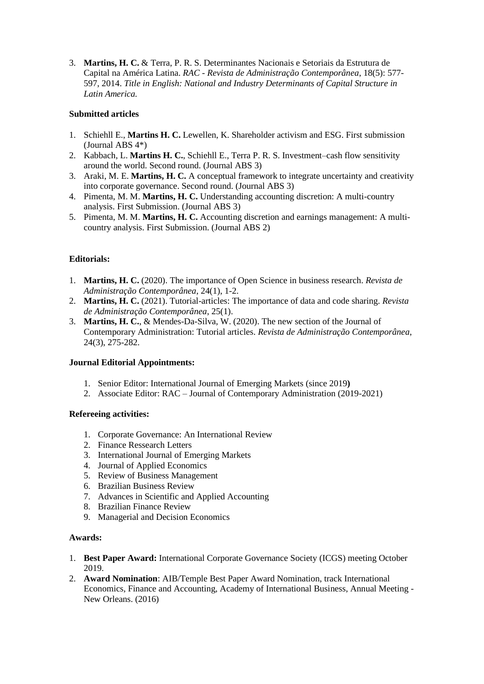3. **Martins, H. C.** & Terra, P. R. S. Determinantes Nacionais e Setoriais da Estrutura de Capital na América Latina. *RAC - Revista de Administração Contemporânea*, 18(5): 577- 597, 2014. *Title in English: National and Industry Determinants of Capital Structure in Latin America.*

# **Submitted articles**

- 1. Schiehll E., **Martins H. C.** Lewellen, K. Shareholder activism and ESG. First submission (Journal ABS 4\*)
- 2. Kabbach, L. **Martins H. C.**, Schiehll E., Terra P. R. S. Investment–cash flow sensitivity around the world. Second round. (Journal ABS 3)
- 3. Araki, M. E. **Martins, H. C.** A conceptual framework to integrate uncertainty and creativity into corporate governance. Second round. (Journal ABS 3)
- 4. Pimenta, M. M. **Martins, H. C.** Understanding accounting discretion: A multi-country analysis. First Submission. (Journal ABS 3)
- 5. Pimenta, M. M. **Martins, H. C.** Accounting discretion and earnings management: A multicountry analysis. First Submission. (Journal ABS 2)

# **Editorials:**

- 1. **Martins, H. C.** (2020). The importance of Open Science in business research. *Revista de Administração Contemporânea*, 24(1), 1-2.
- 2. **Martins, H. C.** (2021). Tutorial-articles: The importance of data and code sharing. *Revista de Administração Contemporânea*, 25(1).
- 3. **Martins, H. C.**, & Mendes-Da-Silva, W. (2020). The new section of the Journal of Contemporary Administration: Tutorial articles. *Revista de Administração Contemporânea*, 24(3), 275-282.

# **Journal Editorial Appointments:**

- 1. Senior Editor: International Journal of Emerging Markets (since 2019**)**
- 2. Associate Editor: RAC Journal of Contemporary Administration (2019-2021)

# **Refereeing activities:**

- 1. Corporate Governance: An International Review
- 2. Finance Ressearch Letters
- 3. International Journal of Emerging Markets
- 4. Journal of Applied Economics
- 5. Review of Business Management
- 6. Brazilian Business Review
- 7. Advances in Scientific and Applied Accounting
- 8. Brazilian Finance Review
- 9. Managerial and Decision Economics

## **Awards:**

- 1. **Best Paper Award:** International Corporate Governance Society (ICGS) meeting October 2019.
- 2. **Award Nomination**: AIB/Temple Best Paper Award Nomination, track International Economics, Finance and Accounting, Academy of International Business, Annual Meeting - New Orleans. (2016)